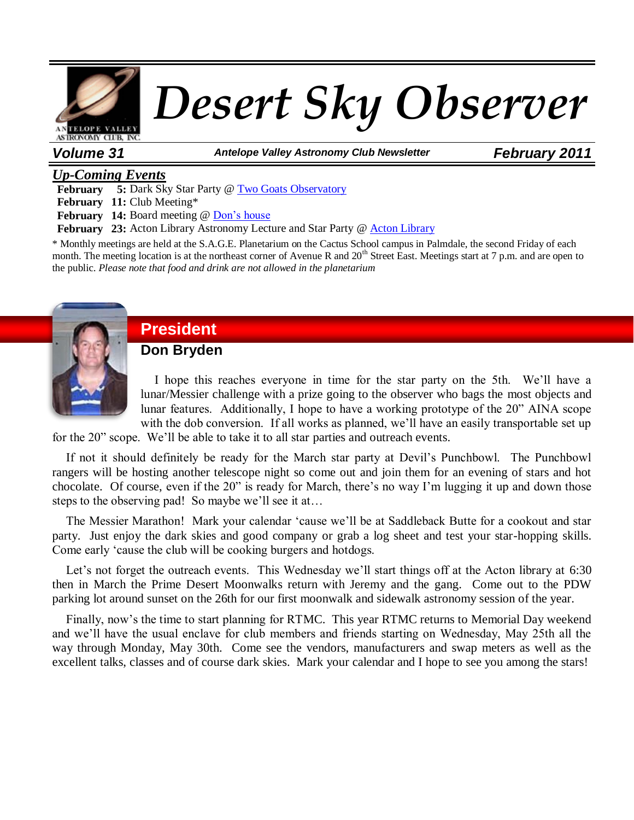

*Volume 31 Antelope Valley Astronomy Club Newsletter February 2011*

# *Up-Coming Events*

**February 5:** Dark Sky Star Party @ [Two Goats Observatory](http://www.avastronomyclub.org/calendar/venueevents/10-two-goats-observatory.html)

**February 11:** Club Meeting\*

**February 14:** Board meeting @ [Don's house](http://www.avastronomyclub.org/calendar/venueevents/10-two-goats-observatory.html)

**February 23:** Acton Library Astronomy Lecture and Star Party @ [Acton Library](http://www.colapublib.org/libs/acton/index.php)

\* Monthly meetings are held at the S.A.G.E. Planetarium on the Cactus School campus in Palmdale, the second Friday of each month. The meeting location is at the northeast corner of Avenue R and 20<sup>th</sup> Street East. Meetings start at 7 p.m. and are open to the public. *Please note that food and drink are not allowed in the planetarium*



# **President**

**Don Bryden**

I hope this reaches everyone in time for the star party on the 5th. We'll have a lunar/Messier challenge with a prize going to the observer who bags the most objects and lunar features. Additionally, I hope to have a working prototype of the 20" AINA scope with the dob conversion. If all works as planned, we'll have an easily transportable set up

for the 20" scope. We'll be able to take it to all star parties and outreach events.

If not it should definitely be ready for the March star party at Devil's Punchbowl. The Punchbowl rangers will be hosting another telescope night so come out and join them for an evening of stars and hot chocolate. Of course, even if the 20" is ready for March, there's no way I'm lugging it up and down those steps to the observing pad! So maybe we'll see it at…

The Messier Marathon! Mark your calendar 'cause we'll be at Saddleback Butte for a cookout and star party. Just enjoy the dark skies and good company or grab a log sheet and test your star-hopping skills. Come early 'cause the club will be cooking burgers and hotdogs.

Let's not forget the outreach events. This Wednesday we'll start things off at the Acton library at 6:30 then in March the Prime Desert Moonwalks return with Jeremy and the gang. Come out to the PDW parking lot around sunset on the 26th for our first moonwalk and sidewalk astronomy session of the year.

Finally, now's the time to start planning for RTMC. This year RTMC returns to Memorial Day weekend and we'll have the usual enclave for club members and friends starting on Wednesday, May 25th all the way through Monday, May 30th. Come see the vendors, manufacturers and swap meters as well as the excellent talks, classes and of course dark skies. Mark your calendar and I hope to see you among the stars!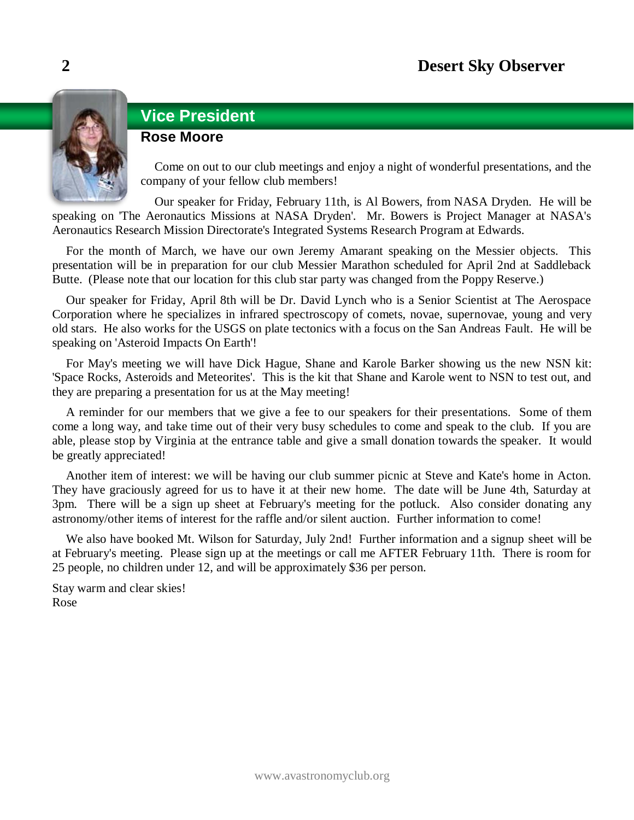

# **Vice President**

# **Rose Moore**

Come on out to our club meetings and enjoy a night of wonderful presentations, and the company of your fellow club members!

Our speaker for Friday, February 11th, is Al Bowers, from NASA Dryden. He will be speaking on 'The Aeronautics Missions at NASA Dryden'. Mr. Bowers is Project Manager at NASA's Aeronautics Research Mission Directorate's Integrated Systems Research Program at Edwards.

For the month of March, we have our own Jeremy Amarant speaking on the Messier objects. This presentation will be in preparation for our club Messier Marathon scheduled for April 2nd at Saddleback Butte. (Please note that our location for this club star party was changed from the Poppy Reserve.)

Our speaker for Friday, April 8th will be Dr. David Lynch who is a Senior Scientist at The Aerospace Corporation where he specializes in infrared spectroscopy of comets, novae, supernovae, young and very old stars. He also works for the USGS on plate tectonics with a focus on the San Andreas Fault. He will be speaking on 'Asteroid Impacts On Earth'!

For May's meeting we will have Dick Hague, Shane and Karole Barker showing us the new NSN kit: 'Space Rocks, Asteroids and Meteorites'. This is the kit that Shane and Karole went to NSN to test out, and they are preparing a presentation for us at the May meeting!

A reminder for our members that we give a fee to our speakers for their presentations. Some of them come a long way, and take time out of their very busy schedules to come and speak to the club. If you are able, please stop by Virginia at the entrance table and give a small donation towards the speaker. It would be greatly appreciated!

Another item of interest: we will be having our club summer picnic at Steve and Kate's home in Acton. They have graciously agreed for us to have it at their new home. The date will be June 4th, Saturday at 3pm. There will be a sign up sheet at February's meeting for the potluck. Also consider donating any astronomy/other items of interest for the raffle and/or silent auction. Further information to come!

We also have booked Mt. Wilson for Saturday, July 2nd! Further information and a signup sheet will be at February's meeting. Please sign up at the meetings or call me AFTER February 11th. There is room for 25 people, no children under 12, and will be approximately \$36 per person.

Stay warm and clear skies! Rose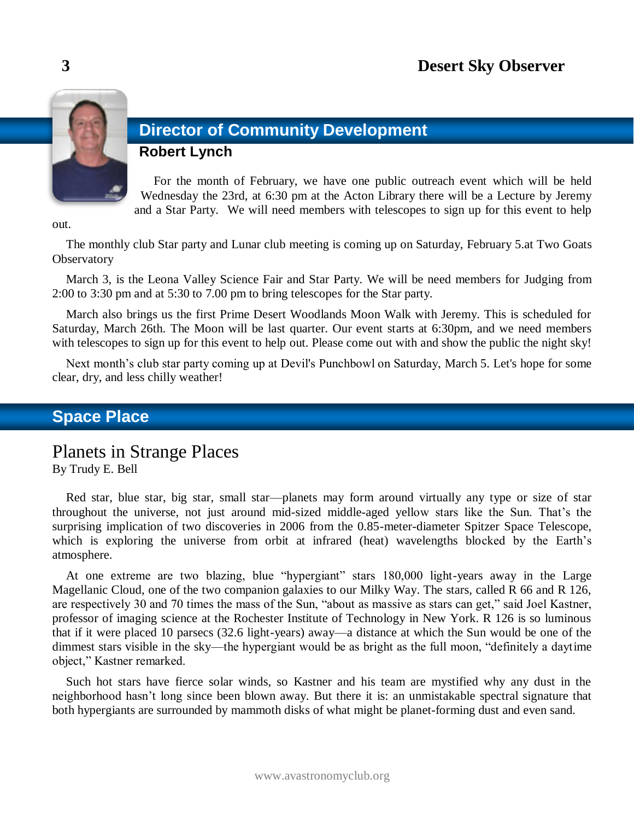

# **Director of Community Development**

# **Robert Lynch**

For the month of February, we have one public outreach event which will be held Wednesday the 23rd, at 6:30 pm at the Acton Library there will be a Lecture by Jeremy and a Star Party. We will need members with telescopes to sign up for this event to help

out.

The monthly club Star party and Lunar club meeting is coming up on Saturday, February 5.at Two Goats **Observatory** 

March 3, is the Leona Valley Science Fair and Star Party. We will be need members for Judging from 2:00 to 3:30 pm and at 5:30 to 7.00 pm to bring telescopes for the Star party.

March also brings us the first Prime Desert Woodlands Moon Walk with Jeremy. This is scheduled for Saturday, March 26th. The Moon will be last quarter. Our event starts at 6:30pm, and we need members with telescopes to sign up for this event to help out. Please come out with and show the public the night sky!

Next month's club star party coming up at Devil's Punchbowl on Saturday, March 5. Let's hope for some clear, dry, and less chilly weather!

# **Space Place**

Planets in Strange Places

By Trudy E. Bell

Red star, blue star, big star, small star—planets may form around virtually any type or size of star throughout the universe, not just around mid-sized middle-aged yellow stars like the Sun. That's the surprising implication of two discoveries in 2006 from the 0.85-meter-diameter Spitzer Space Telescope, which is exploring the universe from orbit at infrared (heat) wavelengths blocked by the Earth's atmosphere.

At one extreme are two blazing, blue "hypergiant" stars 180,000 light-years away in the Large Magellanic Cloud, one of the two companion galaxies to our Milky Way. The stars, called R 66 and R 126, are respectively 30 and 70 times the mass of the Sun, "about as massive as stars can get," said Joel Kastner, professor of imaging science at the Rochester Institute of Technology in New York. R 126 is so luminous that if it were placed 10 parsecs (32.6 light-years) away—a distance at which the Sun would be one of the dimmest stars visible in the sky—the hypergiant would be as bright as the full moon, "definitely a daytime object," Kastner remarked.

Such hot stars have fierce solar winds, so Kastner and his team are mystified why any dust in the neighborhood hasn't long since been blown away. But there it is: an unmistakable spectral signature that both hypergiants are surrounded by mammoth disks of what might be planet-forming dust and even sand.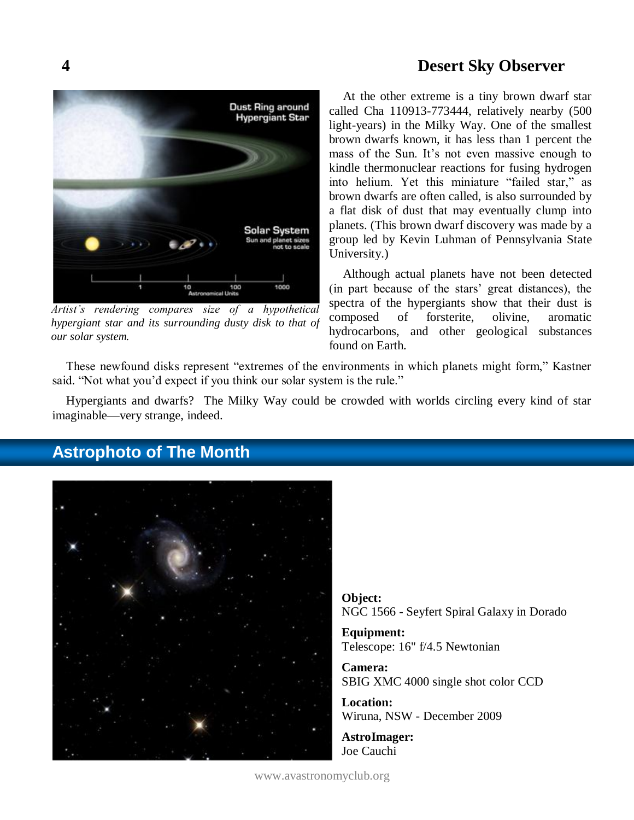

*Artist's rendering compares size of a hypothetical hypergiant star and its surrounding dusty disk to that of our solar system.*

At the other extreme is a tiny brown dwarf star called Cha 110913-773444, relatively nearby (500 light-years) in the Milky Way. One of the smallest brown dwarfs known, it has less than 1 percent the mass of the Sun. It's not even massive enough to kindle thermonuclear reactions for fusing hydrogen into helium. Yet this miniature "failed star," as brown dwarfs are often called, is also surrounded by a flat disk of dust that may eventually clump into planets. (This brown dwarf discovery was made by a group led by Kevin Luhman of Pennsylvania State University.)

Although actual planets have not been detected (in part because of the stars' great distances), the spectra of the hypergiants show that their dust is composed of forsterite, olivine, aromatic hydrocarbons, and other geological substances found on Earth.

These newfound disks represent "extremes of the environments in which planets might form," Kastner said. "Not what you'd expect if you think our solar system is the rule."

Hypergiants and dwarfs? The Milky Way could be crowded with worlds circling every kind of star imaginable—very strange, indeed.



# **Astrophoto of The Month**

**Object:** NGC 1566 - Seyfert Spiral Galaxy in Dorado

**Equipment:**  Telescope: 16" f/4.5 Newtonian

**Camera:**  SBIG XMC 4000 single shot color CCD

**Location:**  Wiruna, NSW - December 2009

**AstroImager:**  Joe Cauchi

www.avastronomyclub.org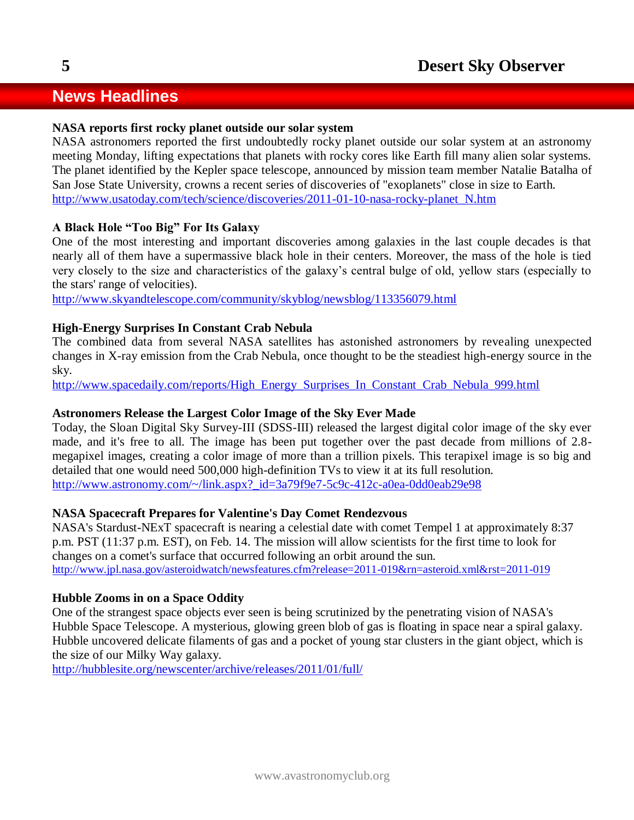# **News Headlines**

### **NASA reports first rocky planet outside our solar system**

NASA astronomers reported the first undoubtedly rocky planet outside our solar system at an astronomy meeting Monday, lifting expectations that planets with rocky cores like Earth fill many alien solar systems. The planet identified by the Kepler space telescope, announced by mission team member Natalie Batalha of San Jose State University, crowns a recent series of discoveries of "exoplanets" close in size to Earth. [http://www.usatoday.com/tech/science/discoveries/2011-01-10-nasa-rocky-planet\\_N.htm](http://www.usatoday.com/tech/science/discoveries/2011-01-10-nasa-rocky-planet_N.htm)

# **A Black Hole "Too Big" For Its Galaxy**

One of the most interesting and important discoveries among galaxies in the last couple decades is that nearly all of them have a supermassive black hole in their centers. Moreover, the mass of the hole is tied very closely to the size and characteristics of the galaxy's central bulge of old, yellow stars (especially to the stars' range of velocities).

<http://www.skyandtelescope.com/community/skyblog/newsblog/113356079.html>

# **High-Energy Surprises In Constant Crab Nebula**

The combined data from several NASA satellites has astonished astronomers by revealing unexpected changes in X-ray emission from the Crab Nebula, once thought to be the steadiest high-energy source in the sky.

[http://www.spacedaily.com/reports/High\\_Energy\\_Surprises\\_In\\_Constant\\_Crab\\_Nebula\\_999.html](http://www.spacedaily.com/reports/High_Energy_Surprises_In_Constant_Crab_Nebula_999.html)

### **Astronomers Release the Largest Color Image of the Sky Ever Made**

Today, the Sloan Digital Sky Survey-III (SDSS-III) released the largest digital color image of the sky ever made, and it's free to all. The image has been put together over the past decade from millions of 2.8 megapixel images, creating a color image of more than a trillion pixels. This terapixel image is so big and detailed that one would need 500,000 high-definition TVs to view it at its full resolution. [http://www.astronomy.com/~/link.aspx?\\_id=3a79f9e7-5c9c-412c-a0ea-0dd0eab29e98](http://www.astronomy.com/~/link.aspx?_id=3a79f9e7-5c9c-412c-a0ea-0dd0eab29e98)

### **NASA Spacecraft Prepares for Valentine's Day Comet Rendezvous**

NASA's Stardust-NExT spacecraft is nearing a celestial date with comet Tempel 1 at approximately 8:37 p.m. PST (11:37 p.m. EST), on Feb. 14. The mission will allow scientists for the first time to look for changes on a comet's surface that occurred following an orbit around the sun. <http://www.jpl.nasa.gov/asteroidwatch/newsfeatures.cfm?release=2011-019&rn=asteroid.xml&rst=2011-019>

### **Hubble Zooms in on a Space Oddity**

One of the strangest space objects ever seen is being scrutinized by the penetrating vision of NASA's Hubble Space Telescope. A mysterious, glowing green blob of gas is floating in space near a spiral galaxy. Hubble uncovered delicate filaments of gas and a pocket of young star clusters in the giant object, which is the size of our Milky Way galaxy.

<http://hubblesite.org/newscenter/archive/releases/2011/01/full/>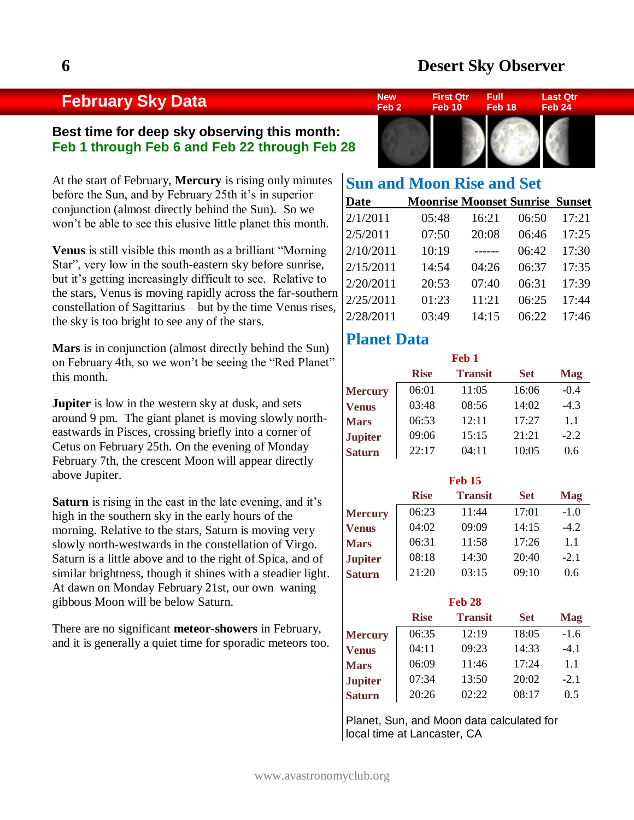# **February Sky Data**

# **Best time for deep sky observing this month: Feb 1 through Feb 6 and Feb 22 through Feb 28**

At the start of February, **Mercury** is rising only minutes before the Sun, and by February 25th it's in superior conjunction (almost directly behind the Sun). So we won't be able to see this elusive little planet this month.

**Venus** is still visible this month as a brilliant "Morning Star", very low in the south-eastern sky before sunrise, but it's getting increasingly difficult to see. Relative to the stars, Venus is moving rapidly across the far-southern constellation of Sagittarius – but by the time Venus rises, the sky is too bright to see any of the stars.

**Mars** is in conjunction (almost directly behind the Sun) on February 4th, so we won't be seeing the "Red Planet" this month.

**Jupiter** is low in the western sky at dusk, and sets around 9 pm. The giant planet is moving slowly northeastwards in Pisces, crossing briefly into a corner of Cetus on February 25th. On the evening of Monday February 7th, the crescent Moon will appear directly above Jupiter.

**Saturn** is rising in the east in the late evening, and it's high in the southern sky in the early hours of the morning. Relative to the stars, Saturn is moving very slowly north-westwards in the constellation of Virgo. Saturn is a little above and to the right of Spica, and of similar brightness, though it shines with a steadier light. At dawn on Monday February 21st, our own waning gibbous Moon will be below Saturn.

There are no significant **meteor-showers** in February, and it is generally a quiet time for sporadic meteors too.



| <b>Sun and Moon Rise and Set</b> |                                        |       |       |       |
|----------------------------------|----------------------------------------|-------|-------|-------|
| <b>Date</b>                      | <b>Moonrise Moonset Sunrise Sunset</b> |       |       |       |
| 2/1/2011                         | 05:48                                  | 16:21 | 06:50 | 17:21 |
| 2/5/2011                         | 07:50                                  | 20:08 | 06:46 | 17:25 |
| 2/10/2011                        | 10:19                                  | ----- | 06:42 | 17:30 |
| 2/15/2011                        | 14:54                                  | 04:26 | 06:37 | 17:35 |
| 2/20/2011                        | 20:53                                  | 07:40 | 06:31 | 17:39 |
| 2/25/2011                        | 01:23                                  | 11:21 | 06:25 | 17:44 |
| 2/28/2011                        | 03:49                                  | 14:15 | 06:22 | 17:46 |

# **Planet Data**

| Feb <sub>1</sub> |             |                |            |            |  |  |  |
|------------------|-------------|----------------|------------|------------|--|--|--|
|                  | <b>Rise</b> | <b>Transit</b> | <b>Set</b> | <b>Mag</b> |  |  |  |
| <b>Mercury</b>   | 06:01       | 11:05          | 16:06      | $-0.4$     |  |  |  |
| <b>Venus</b>     | 03:48       | 08:56          | 14:02      | $-4.3$     |  |  |  |
| <b>Mars</b>      | 06:53       | 12:11          | 17:27      | 1.1        |  |  |  |
| <b>Jupiter</b>   | 09:06       | 15:15          | 21:21      | $-2.2$     |  |  |  |
| <b>Saturn</b>    | 22:17       | 04:11          | 10:05      | 0.6        |  |  |  |

| <b>Feb 15</b>  |             |                |            |            |  |  |  |
|----------------|-------------|----------------|------------|------------|--|--|--|
|                | <b>Rise</b> | <b>Transit</b> | <b>Set</b> | <b>Mag</b> |  |  |  |
| <b>Mercury</b> | 06:23       | 11:44          | 17:01      | $-1.0$     |  |  |  |
| <b>Venus</b>   | 04:02       | 09:09          | 14:15      | $-4.2$     |  |  |  |
| <b>Mars</b>    | 06:31       | 11:58          | 17:26      | 1.1        |  |  |  |
| <b>Jupiter</b> | 08:18       | 14:30          | 20:40      | $-2.1$     |  |  |  |
| <b>Saturn</b>  | 21:20       | 03:15          | 09:10      | 0.6        |  |  |  |

| <b>Feb 28</b>  |                                                           |       |       |        |  |  |  |  |  |
|----------------|-----------------------------------------------------------|-------|-------|--------|--|--|--|--|--|
|                | <b>Transit</b><br><b>Rise</b><br><b>Set</b><br><b>Mag</b> |       |       |        |  |  |  |  |  |
| <b>Mercury</b> | 06:35                                                     | 12:19 | 18:05 | $-1.6$ |  |  |  |  |  |
| <b>Venus</b>   | 04:11                                                     | 09:23 | 14:33 | $-4.1$ |  |  |  |  |  |
| <b>Mars</b>    | 06:09                                                     | 11:46 | 17:24 | 1.1    |  |  |  |  |  |
| <b>Jupiter</b> | 07:34                                                     | 13:50 | 20:02 | $-2.1$ |  |  |  |  |  |
| <b>Saturn</b>  | 20:26                                                     | 02:22 | 08:17 | 0.5    |  |  |  |  |  |

Planet, Sun, and Moon data calculated for local time at Lancaster, CA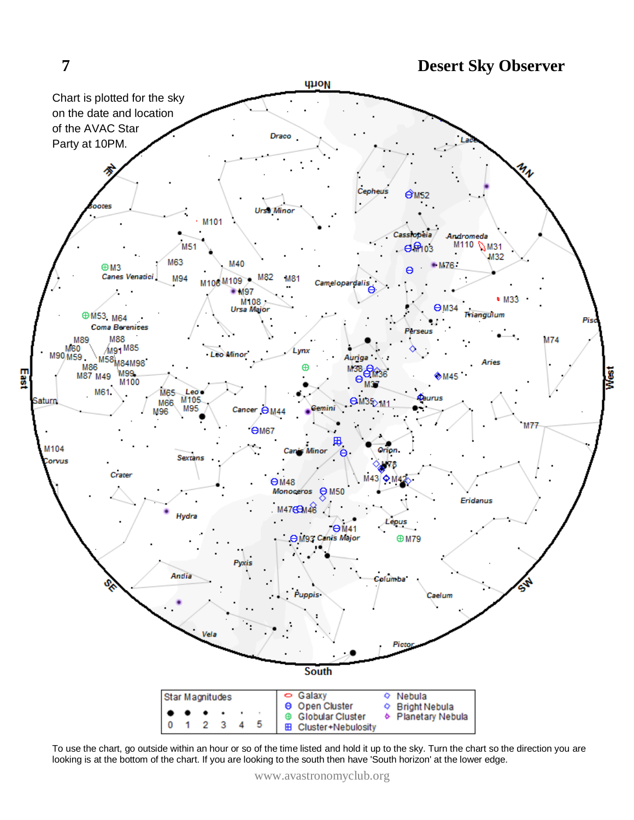

To use the chart, go outside within an hour or so of the time listed and hold it up to the sky. Turn the chart so the direction you are looking is at the bottom of the chart. If you are looking to the south then have 'South horizon' at the lower edge.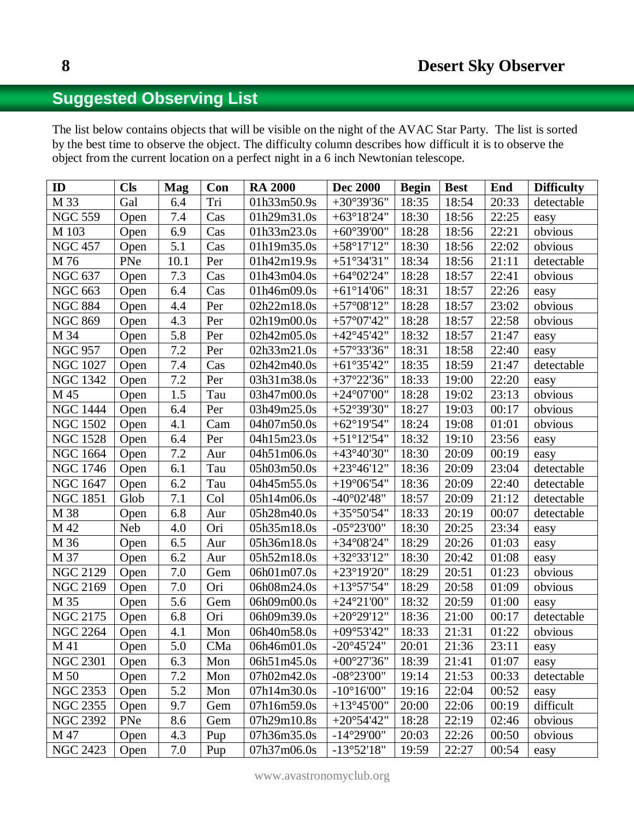# **Suggested Observing List**

The list below contains objects that will be visible on the night of the AVAC Star Party. The list is sorted by the best time to observe the object. The difficulty column describes how difficult it is to observe the object from the current location on a perfect night in a 6 inch Newtonian telescope.

| ID               | <b>Cls</b> | <b>Mag</b>       | Con | <b>RA 2000</b> | <b>Dec 2000</b>                           | <b>Begin</b> | <b>Best</b> | End   | <b>Difficulty</b> |
|------------------|------------|------------------|-----|----------------|-------------------------------------------|--------------|-------------|-------|-------------------|
| M 33             | Gal        | 6.4              | Tri | 01h33m50.9s    | $+30^{\circ}39'36"$                       | 18:35        | 18:54       | 20:33 | detectable        |
| <b>NGC 559</b>   | Open       | $7.4\,$          | Cas | 01h29m31.0s    | $+63^{\circ}18'24"$                       | 18:30        | 18:56       | 22:25 | easy              |
| M 103            | Open       | 6.9              | Cas | 01h33m23.0s    | $+60^{\circ}39'00"$                       | 18:28        | 18:56       | 22:21 | obvious           |
| <b>NGC 457</b>   | Open       | $\overline{5.1}$ | Cas | 01h19m35.0s    | $+58°17'12"$                              | 18:30        | 18:56       | 22:02 | obvious           |
| M 76             | PNe        | 10.1             | Per | 01h42m19.9s    | $+51^{\circ}34'31"$                       | 18:34        | 18:56       | 21:11 | detectable        |
| <b>NGC 637</b>   | Open       | 7.3              | Cas | 01h43m04.0s    | $+64^{\circ}02'24"$                       | 18:28        | 18:57       | 22:41 | obvious           |
| <b>NGC 663</b>   | Open       | 6.4              | Cas | 01h46m09.0s    | $+61^{\circ}14'06"$                       | 18:31        | 18:57       | 22:26 | easy              |
| <b>NGC 884</b>   | Open       | 4.4              | Per | 02h22m18.0s    | $+57^{\circ}08'12"$                       | 18:28        | 18:57       | 23:02 | obvious           |
| <b>NGC 869</b>   | Open       | 4.3              | Per | 02h19m00.0s    | $+57^{\circ}07'42"$                       | 18:28        | 18:57       | 22:58 | obvious           |
| M 34             | Open       | 5.8              | Per | 02h42m05.0s    | $+42^{\circ}45'42"$                       | 18:32        | 18:57       | 21:47 | easy              |
| <b>NGC 957</b>   | Open       | 7.2              | Per | 02h33m21.0s    | $+57°33'36"$                              | 18:31        | 18:58       | 22:40 | easy              |
| <b>NGC 1027</b>  | Open       | $7.4\,$          | Cas | 02h42m40.0s    | $+61°35'42"$                              | 18:35        | 18:59       | 21:47 | detectable        |
| <b>NGC 1342</b>  | Open       | $7.2\,$          | Per | 03h31m38.0s    | $+37°22'36"$                              | 18:33        | 19:00       | 22:20 | easy              |
| M 45             | Open       | 1.5              | Tau | 03h47m00.0s    | $+24^{\circ}07'00"$                       | 18:28        | 19:02       | 23:13 | obvious           |
| <b>NGC 1444</b>  | Open       | 6.4              | Per | 03h49m25.0s    | $+52^{\circ}39'30"$                       | 18:27        | 19:03       | 00:17 | obvious           |
| <b>NGC 1502</b>  | Open       | 4.1              | Cam | 04h07m50.0s    | $+62^{\circ}19'54"$                       | 18:24        | 19:08       | 01:01 | obvious           |
| <b>NGC 1528</b>  | Open       | 6.4              | Per | 04h15m23.0s    | $+51^{\circ}12^{\prime}54^{\prime\prime}$ | 18:32        | 19:10       | 23:56 | easy              |
| <b>NGC 1664</b>  | Open       | $7.2\,$          | Aur | 04h51m06.0s    | $+43^{\circ}40'30"$                       | 18:30        | 20:09       | 00:19 | easy              |
| <b>NGC 1746</b>  | Open       | 6.1              | Tau | 05h03m50.0s    | $+23^{\circ}46'12"$                       | 18:36        | 20:09       | 23:04 | detectable        |
| <b>NGC 1647</b>  | Open       | 6.2              | Tau | 04h45m55.0s    | $+19^{\circ}06'54"$                       | 18:36        | 20:09       | 22:40 | detectable        |
| <b>NGC 1851</b>  | Glob       | 7.1              | Col | 05h14m06.0s    | $-40^{\circ}02'48''$                      | 18:57        | 20:09       | 21:12 | detectable        |
| M 38             | Open       | 6.8              | Aur | 05h28m40.0s    | $+35^{\circ}50'54"$                       | 18:33        | 20:19       | 00:07 | detectable        |
| M 42             | Neb        | 4.0              | Ori | 05h35m18.0s    | $-05^{\circ}23'00''$                      | 18:30        | 20:25       | 23:34 | easy              |
| M 36             | Open       | 6.5              | Aur | 05h36m18.0s    | $+34^{\circ}08'24"$                       | 18:29        | 20:26       | 01:03 | easy              |
| M 37             | Open       | $6.2\,$          | Aur | 05h52m18.0s    | $+32^{\circ}33'12"$                       | 18:30        | 20:42       | 01:08 | easy              |
| <b>NGC 2129</b>  | Open       | 7.0              | Gem | 06h01m07.0s    | $+23^{\circ}19'20"$                       | 18:29        | 20:51       | 01:23 | obvious           |
| <b>NGC 2169</b>  | Open       | $7.0\,$          | Ori | 06h08m24.0s    | $+13°57'54"$                              | 18:29        | 20:58       | 01:09 | obvious           |
| M 35             | Open       | 5.6              | Gem | 06h09m00.0s    | $+24^{\circ}21'00"$                       | 18:32        | 20:59       | 01:00 | easy              |
| <b>NGC 2175</b>  | Open       | 6.8              | Ori | 06h09m39.0s    | $+20^{\circ}29'12"$                       | 18:36        | 21:00       | 00:17 | detectable        |
| <b>NGC 2264</b>  | Open       | 4.1              | Mon | 06h40m58.0s    | $+09^{\circ}53'42"$                       | 18:33        | 21:31       | 01:22 | obvious           |
| $\overline{M41}$ | Open       | $\overline{5.0}$ | CMa | 06h46m01.0s    | $-20^{\circ}45'24"$                       | 20:01        | 21:36       | 23:11 | easy              |
| <b>NGC 2301</b>  | Open       | 6.3              | Mon | 06h51m45.0s    | $+00^{\circ}27'36"$                       | 18:39        | 21:41       | 01:07 | easy              |
| M 50             | Open       | $7.2\,$          | Mon | 07h02m42.0s    | $-08^{\circ}23'00''$                      | 19:14        | 21:53       | 00:33 | detectable        |
| <b>NGC 2353</b>  | Open       | 5.2              | Mon | 07h14m30.0s    | $-10^{\circ}16'00''$                      | 19:16        | 22:04       | 00:52 | easy              |
| <b>NGC 2355</b>  | Open       | 9.7              | Gem | 07h16m59.0s    | $+13^{\circ}45'00"$                       | 20:00        | 22:06       | 00:19 | difficult         |
| <b>NGC 2392</b>  | PNe        | 8.6              | Gem | 07h29m10.8s    | $+20^{\circ}54'42"$                       | 18:28        | 22:19       | 02:46 | obvious           |
| M 47             | Open       | 4.3              | Pup | 07h36m35.0s    | $-14^{\circ}29'00''$                      | 20:03        | 22:26       | 00:50 | obvious           |
| <b>NGC 2423</b>  | Open       | 7.0              | Pup | 07h37m06.0s    | $-13°52'18"$                              | 19:59        | 22:27       | 00:54 | easy              |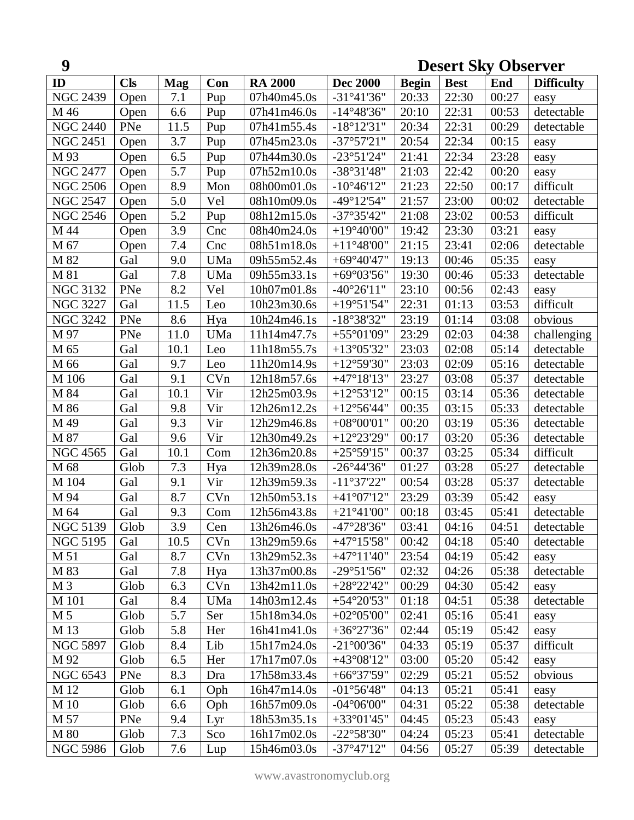| 9               |            |            |     | <b>Desert Sky Observer</b> |                      |              |             |       |                   |
|-----------------|------------|------------|-----|----------------------------|----------------------|--------------|-------------|-------|-------------------|
| ID              | <b>Cls</b> | <b>Mag</b> | Con | <b>RA 2000</b>             | <b>Dec 2000</b>      | <b>Begin</b> | <b>Best</b> | End   | <b>Difficulty</b> |
| <b>NGC 2439</b> | Open       | 7.1        | Pup | 07h40m45.0s                | $-31°41'36"$         | 20:33        | 22:30       | 00:27 | easy              |
| M 46            | Open       | 6.6        | Pup | 07h41m46.0s                | $-14^{\circ}48'36"$  | 20:10        | 22:31       | 00:53 | detectable        |
| <b>NGC 2440</b> | PNe        | 11.5       | Pup | 07h41m55.4s                | $-18^{\circ}12'31"$  | 20:34        | 22:31       | 00:29 | detectable        |
| <b>NGC 2451</b> | Open       | 3.7        | Pup | 07h45m23.0s                | $-37^{\circ}57'21"$  | 20:54        | 22:34       | 00:15 | easy              |
| M 93            | Open       | 6.5        | Pup | 07h44m30.0s                | $-23°51'24"$         | 21:41        | 22:34       | 23:28 | easy              |
| <b>NGC 2477</b> | Open       | 5.7        | Pup | 07h52m10.0s                | $-38°31'48"$         | 21:03        | 22:42       | 00:20 | easy              |
| <b>NGC 2506</b> | Open       | 8.9        | Mon | 08h00m01.0s                | $-10^{\circ}46'12"$  | 21:23        | 22:50       | 00:17 | difficult         |
| <b>NGC 2547</b> | Open       | 5.0        | Vel | 08h10m09.0s                | $-49^{\circ}12'54"$  | 21:57        | 23:00       | 00:02 | detectable        |
| <b>NGC 2546</b> | Open       | 5.2        | Pup | 08h12m15.0s                | $-37^{\circ}35'42"$  | 21:08        | 23:02       | 00:53 | difficult         |
| M 44            | Open       | 3.9        | Cnc | 08h40m24.0s                | $+19^{\circ}40'00"$  | 19:42        | 23:30       | 03:21 | easy              |
| M 67            | Open       | 7.4        | Cnc | 08h51m18.0s                | $+11^{\circ}48'00"$  | 21:15        | 23:41       | 02:06 | detectable        |
| M 82            | Gal        | 9.0        | UMa | 09h55m52.4s                | $+69^{\circ}40'47"$  | 19:13        | 00:46       | 05:35 | easy              |
| M 81            | Gal        | 7.8        | UMa | 09h55m33.1s                | $+69^{\circ}03'56"$  | 19:30        | 00:46       | 05:33 | detectable        |
| <b>NGC 3132</b> | PNe        | 8.2        | Vel | 10h07m01.8s                | $-40^{\circ}26'11"$  | 23:10        | 00:56       | 02:43 | easy              |
| <b>NGC 3227</b> | Gal        | 11.5       | Leo | 10h23m30.6s                | $+19°51'54"$         | 22:31        | 01:13       | 03:53 | difficult         |
| <b>NGC 3242</b> | PNe        | 8.6        | Hya | 10h24m46.1s                | $-18°38'32"$         | 23:19        | 01:14       | 03:08 | obvious           |
| M 97            | PNe        | 11.0       | UMa | 11h14m47.7s                | $+55^{\circ}01'09"$  | 23:29        | 02:03       | 04:38 | challenging       |
| M 65            | Gal        | 10.1       | Leo | 11h18m55.7s                | $+13^{\circ}05'32"$  | 23:03        | 02:08       | 05:14 | detectable        |
| M 66            | Gal        | 9.7        | Leo | 11h20m14.9s                | $+12^{\circ}59'30"$  | 23:03        | 02:09       | 05:16 | detectable        |
| M 106           | Gal        | 9.1        | CVn | 12h18m57.6s                | $+47^{\circ}18'13"$  | 23:27        | 03:08       | 05:37 | detectable        |
| M 84            | Gal        | 10.1       | Vir | 12h25m03.9s                | $+12^{\circ}53'12"$  | 00:15        | 03:14       | 05:36 | detectable        |
| M 86            | Gal        | 9.8        | Vir | 12h26m12.2s                | $+12^{\circ}56'44"$  | 00:35        | 03:15       | 05:33 | detectable        |
| M 49            | Gal        | 9.3        | Vir | 12h29m46.8s                | $+08^{\circ}00'01"$  | 00:20        | 03:19       | 05:36 | detectable        |
| M 87            | Gal        | 9.6        | Vir | 12h30m49.2s                | $+12^{\circ}23'29"$  | 00:17        | 03:20       | 05:36 | detectable        |
| <b>NGC 4565</b> | Gal        | 10.1       | Com | 12h36m20.8s                | $+25^{\circ}59'15"$  | 00:37        | 03:25       | 05:34 | difficult         |
| M 68            | Glob       | 7.3        | Hya | 12h39m28.0s                | $-26^{\circ}44'36"$  | 01:27        | 03:28       | 05:27 | detectable        |
| M 104           | Gal        | 9.1        | Vir | 12h39m59.3s                | $-11°37'22"$         | 00:54        | 03:28       | 05:37 | detectable        |
| M 94            | Gal        | 8.7        | CVn | 12h50m53.1s                | $+41^{\circ}07'12"$  | 23:29        | 03:39       | 05:42 | easy              |
| M 64            | Gal        | 9.3        | Com | 12h56m43.8s                | $+21^{\circ}41'00"$  | 00:18        | 03:45       | 05:41 | detectable        |
| <b>NGC 5139</b> | Glob       | 3.9        | Cen | 13h26m46.0s                | $-47^{\circ}28'36''$ | 03:41        | 04:16       | 04:51 | detectable        |
| <b>NGC 5195</b> | Gal        | 10.5       | CVn | 13h29m59.6s                | $+47^{\circ}15'58"$  | 00:42        | 04:18       | 05:40 | detectable        |
| M 51            | Gal        | 8.7        | CVn | 13h29m52.3s                | $+47^{\circ}11'40''$ | 23:54        | 04:19       | 05:42 | easy              |
| M 83            | Gal        | 7.8        | Hya | 13h37m00.8s                | $-29^{\circ}51'56''$ | 02:32        | 04:26       | 05:38 | detectable        |
| M <sub>3</sub>  | Glob       | 6.3        | CVn | 13h42m11.0s                | $+28°22'42"$         | 00:29        | 04:30       | 05:42 | easy              |
| M 101           | Gal        | 8.4        | UMa | 14h03m12.4s                | $+54^{\circ}20'53"$  | 01:18        | 04:51       | 05:38 | detectable        |
| M 5             | Glob       | 5.7        | Ser | 15h18m34.0s                | $+02^{\circ}05'00"$  | 02:41        | 05:16       | 05:41 | easy              |
| M 13            | Glob       | 5.8        | Her | 16h41m41.0s                | $+36°27'36"$         | 02:44        | 05:19       | 05:42 | easy              |
| <b>NGC 5897</b> | Glob       | 8.4        | Lib | 15h17m24.0s                | $-21^{\circ}00'36"$  | 04:33        | 05:19       | 05:37 | difficult         |
| M 92            | Glob       | 6.5        | Her | 17h17m07.0s                | $+43^{\circ}08'12"$  | 03:00        | 05:20       | 05:42 | easy              |
| <b>NGC 6543</b> | PNe        | 8.3        | Dra | 17h58m33.4s                | $+66°37'59"$         | 02:29        | 05:21       | 05:52 | obvious           |
| M 12            | Glob       | 6.1        | Oph | 16h47m14.0s                | $-01^{\circ}56'48"$  | 04:13        | 05:21       | 05:41 | easy              |
| M 10            | Glob       | 6.6        | Oph | 16h57m09.0s                | $-04^{\circ}06'00"$  | 04:31        | 05:22       | 05:38 | detectable        |
| M 57            | PNe        | 9.4        | Lyr | 18h53m35.1s                | $+33^{\circ}01'45"$  | 04:45        | 05:23       | 05:43 | easy              |
| M 80            | Glob       | 7.3        | Sco | 16h17m02.0s                | $-22^{\circ}58'30''$ | 04:24        | 05:23       | 05:41 | detectable        |
| <b>NGC 5986</b> | Glob       | 7.6        | Lup | 15h46m03.0s                | $-37°47'12"$         | 04:56        | 05:27       | 05:39 | detectable        |

www.avastronomyclub.org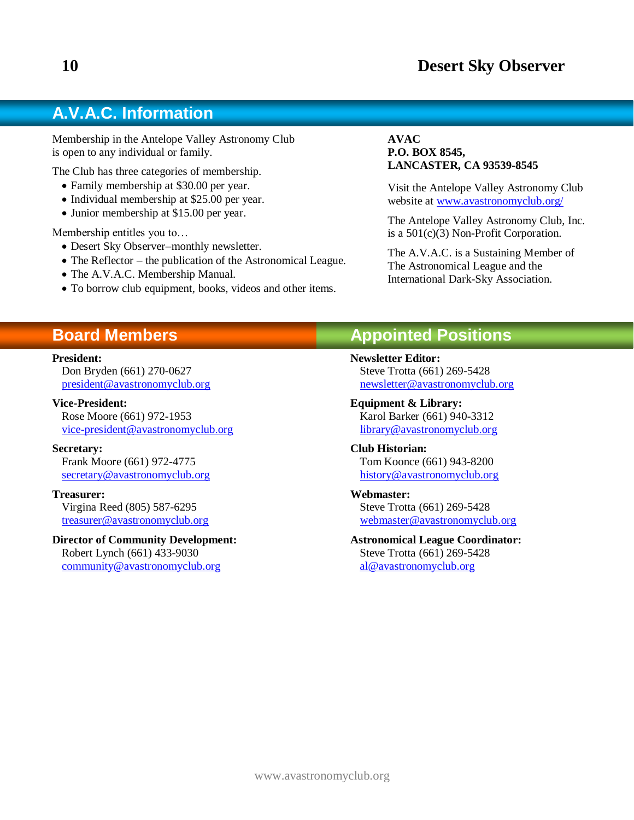# **A.V.A.C. Information**

Membership in the Antelope Valley Astronomy Club is open to any individual or family.

The Club has three categories of membership.

- Family membership at \$30.00 per year.
- Individual membership at \$25.00 per year.
- Junior membership at \$15.00 per year.

Membership entitles you to…

- Desert Sky Observer–monthly newsletter.
- The Reflector the publication of the Astronomical League.
- The A.V.A.C. Membership Manual.
- To borrow club equipment, books, videos and other items.

#### **AVAC P.O. BOX 8545, LANCASTER, CA 93539-8545**

Visit the Antelope Valley Astronomy Club website at [www.avastronomyclub.org/](http://www.avastronomyclub.org/)

The Antelope Valley Astronomy Club, Inc. is a 501(c)(3) Non-Profit Corporation.

The A.V.A.C. is a Sustaining Member of The Astronomical League and the International Dark-Sky Association.

# **Board Members**

#### **President:**

Don Bryden (661) 270-0627 [president@avastronomyclub.org](mailto:president@avastronomyclub.org)

**Vice-President:** Rose Moore (661) 972-1953 [vice-president@avastronomyclub.org](mailto:vice-president@avastronomyclub.org)

**Secretary:** Frank Moore (661) 972-4775

[secretary@avastronomyclub.org](mailto:secretary@avastronomyclub.org)

#### **Treasurer:**

Virgina Reed (805) 587-6295 [treasurer@avastronomyclub.org](mailto:treasurer@avastronomyclub.org)

**Director of Community Development:**

Robert Lynch (661) 433-9030 [community@avastronomyclub.org](mailto:community@avastronomyclub.org)

# **Appointed Positions**

**Newsletter Editor:** Steve Trotta (661) 269-5428 [newsletter@avastronomyclub.org](mailto:newsletter@avastronomyclub.org)

**Equipment & Library:** Karol Barker (661) 940-3312 [library@avastronomyclub.org](mailto:library@avastronomyclub.org)

**Club Historian:** Tom Koonce (661) 943-8200 [history@avastronomyclub.org](mailto:history@avastronomyclub.org)

**Webmaster:** Steve Trotta (661) 269-5428 [webmaster@avastronomyclub.org](mailto:webmaster@avastronomyclub.org)

**Astronomical League Coordinator:** Steve Trotta (661) 269-5428 [al@avastronomyclub.org](mailto:al@avastronomyclub.org)